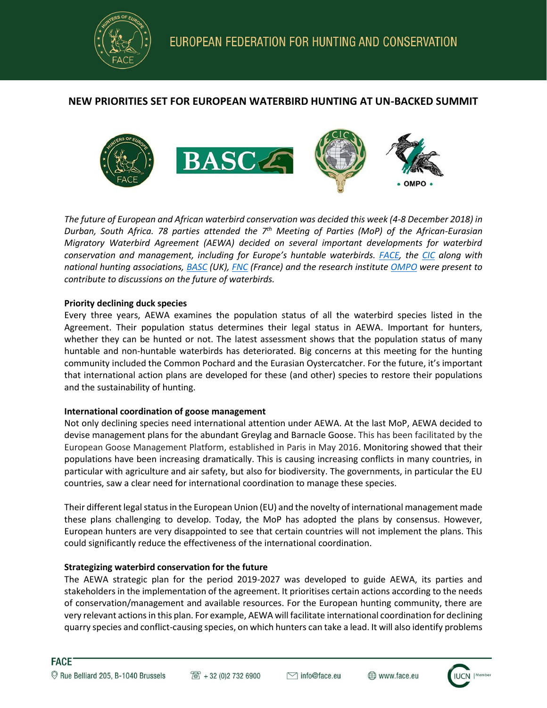

# **NEW PRIORITIES SET FOR EUROPEAN WATERBIRD HUNTING AT UN-BACKED SUMMIT**



*The future of European and African waterbird conservation was decided this week (4-8 December 2018) in Durban, South Africa. 78 parties attended the 7 th Meeting of Parties (MoP) of the African-Eurasian Migratory Waterbird Agreement (AEWA) decided on several important developments for waterbird conservation and management, including for Europe's huntable waterbirds. [FACE,](http://face.eu/) the [CIC](http://www.cic-wildlife.org/) along with national hunting associations, [BASC](https://basc.org.uk/) (UK)[, FNC](http://chasseurdefrance.com/) (France) and the research institute [OMPO](http://www.ompo.org/index.php/en) were present to contribute to discussions on the future of waterbirds.* 

### **Priority declining duck species**

Every three years, AEWA examines the population status of all the waterbird species listed in the Agreement. Their population status determines their legal status in AEWA. Important for hunters, whether they can be hunted or not. The latest assessment shows that the population status of many huntable and non-huntable waterbirds has deteriorated. Big concerns at this meeting for the hunting community included the Common Pochard and the Eurasian Oystercatcher. For the future, it's important that international action plans are developed for these (and other) species to restore their populations and the sustainability of hunting.

### **International coordination of goose management**

Not only declining species need international attention under AEWA. At the last MoP, AEWA decided to devise management plans for the abundant Greylag and Barnacle Goose. This has been facilitated by the European Goose Management Platform, established in Paris in May 2016. Monitoring showed that their populations have been increasing dramatically. This is causing increasing conflicts in many countries, in particular with agriculture and air safety, but also for biodiversity. The governments, in particular the EU countries, saw a clear need for international coordination to manage these species.

Their different legal status in the European Union (EU) and the novelty of international management made these plans challenging to develop. Today, the MoP has adopted the plans by consensus. However, European hunters are very disappointed to see that certain countries will not implement the plans. This could significantly reduce the effectiveness of the international coordination.

## **Strategizing waterbird conservation for the future**

The AEWA strategic plan for the period 2019-2027 was developed to guide AEWA, its parties and stakeholders in the implementation of the agreement. It prioritises certain actions according to the needs of conservation/management and available resources. For the European hunting community, there are very relevant actions in this plan. For example, AEWA will facilitate international coordination for declining quarry species and conflict-causing species, on which hunters can take a lead. It will also identify problems